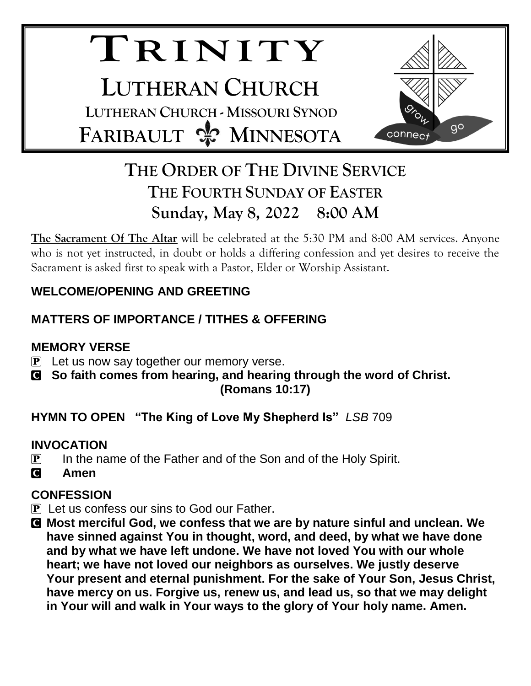# **TR I N I T Y LUTHERAN CHURCH LUTHERAN CHURCH - MISSOURI SYNOD FARIBAULT & MINNESOTA**



## **THE ORDER OF THE DIVINE SERVICE THE FOURTH SUNDAY OF EASTER Sunday, May 8, 2022 8:00 AM**

**The Sacrament Of The Altar** will be celebrated at the 5:30 PM and 8:00 AM services. Anyone who is not yet instructed, in doubt or holds a differing confession and yet desires to receive the Sacrament is asked first to speak with a Pastor, Elder or Worship Assistant.

## **WELCOME/OPENING AND GREETING**

## **MATTERS OF IMPORTANCE / TITHES & OFFERING**

## **MEMORY VERSE**

- $\mathbf{P}$  Let us now say together our memory verse.
- C **So faith comes from hearing, and hearing through the word of Christ. (Romans 10:17)**

## **HYMN TO OPEN "The King of Love My Shepherd Is"** *LSB* 709

## **INVOCATION**

- $\overline{P}$  In the name of the Father and of the Son and of the Holy Spirit.
- C **Amen**

## **CONFESSION**

- $\bf{P}$  Let us confess our sins to God our Father.
- C **Most merciful God, we confess that we are by nature sinful and unclean. We have sinned against You in thought, word, and deed, by what we have done and by what we have left undone. We have not loved You with our whole heart; we have not loved our neighbors as ourselves. We justly deserve Your present and eternal punishment. For the sake of Your Son, Jesus Christ, have mercy on us. Forgive us, renew us, and lead us, so that we may delight in Your will and walk in Your ways to the glory of Your holy name. Amen.**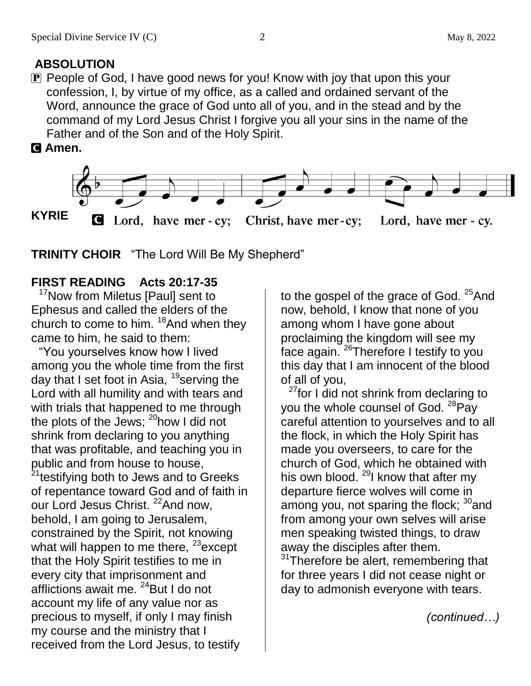## **ABSOLUTION**

 $\mathbf P$  People of God, I have good news for you! Know with joy that upon this your confession, I, by virtue of my office, as a called and ordained servant of the Word, announce the grace of God unto all of you, and in the stead and by the command of my Lord Jesus Christ I forgive you all your sins in the name of the Father and of the Son and of the Holy Spirit.

#### C **Amen.**



**TRINITY CHOIR** "The Lord Will Be My Shepherd"

## **FIRST READING Acts 20:17-35**

<sup>17</sup>Now from Miletus [Paul] sent to Ephesus and called the elders of the church to come to him. <sup>18</sup>And when they came to him, he said to them:

"You yourselves know how I lived among you the whole time from the first day that I set foot in Asia,  $^{19}$ serving the Lord with all humility and with tears and with trials that happened to me through the plots of the Jews;  $^{20}$ how I did not shrink from declaring to you anything that was profitable, and teaching you in public and from house to house, <sup>21</sup>testifying both to Jews and to Greeks of repentance toward God and of faith in our Lord Jesus Christ. <sup>22</sup>And now, behold, I am going to Jerusalem, constrained by the Spirit, not knowing what will happen to me there,  $23$  except that the Holy Spirit testifies to me in every city that imprisonment and afflictions await me. <sup>24</sup>But I do not account my life of any value nor as precious to myself, if only I may finish my course and the ministry that I received from the Lord Jesus, to testify

to the gospel of the grace of God. <sup>25</sup>And now, behold, I know that none of you among whom I have gone about proclaiming the kingdom will see my face again.<sup>26</sup>Therefore I testify to you this day that I am innocent of the blood of all of you,

 $27$  for I did not shrink from declaring to you the whole counsel of God. <sup>28</sup>Pay careful attention to yourselves and to all the flock, in which the Holy Spirit has made you overseers, to care for the church of God, which he obtained with his own blood.  $^{29}$ I know that after my departure fierce wolves will come in among you, not sparing the flock;  $30^{\circ}$  and from among your own selves will arise men speaking twisted things, to draw away the disciples after them.  $31$ Therefore be alert, remembering that

for three years I did not cease night or day to admonish everyone with tears.

*(continued…)*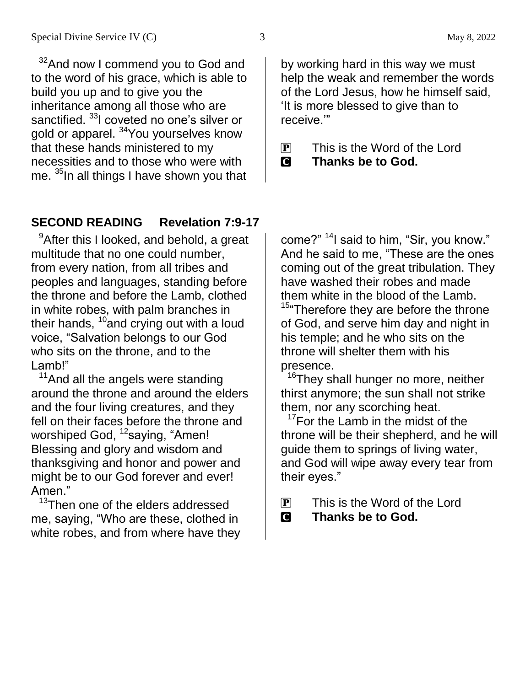$32$ And now I commend you to God and to the word of his grace, which is able to build you up and to give you the inheritance among all those who are sanctified. <sup>33</sup>I coveted no one's silver or gold or apparel. <sup>34</sup>You yourselves know that these hands ministered to my necessities and to those who were with me. <sup>35</sup>In all things I have shown you that

#### **SECOND READING Revelation 7:9-17**

 $9$ After this I looked, and behold, a great multitude that no one could number, from every nation, from all tribes and peoples and languages, standing before the throne and before the Lamb, clothed in white robes, with palm branches in their hands,  $10^{\circ}$  and crying out with a loud voice, "Salvation belongs to our God who sits on the throne, and to the Lamb!"

 $11$ And all the angels were standing around the throne and around the elders and the four living creatures, and they fell on their faces before the throne and worshiped God, <sup>12</sup>saying, "Amen! Blessing and glory and wisdom and thanksgiving and honor and power and might be to our God forever and ever! Amen."

<sup>13</sup>Then one of the elders addressed me, saying, "Who are these, clothed in white robes, and from where have they by working hard in this way we must help the weak and remember the words of the Lord Jesus, how he himself said, 'It is more blessed to give than to receive.'"

- $\overline{P}$  This is the Word of the Lord
- C **Thanks be to God.**

come?" <sup>14</sup>I said to him, "Sir, you know." And he said to me, "These are the ones coming out of the great tribulation. They have washed their robes and made them white in the blood of the Lamb. <sup>15</sup> Therefore they are before the throne

of God, and serve him day and night in his temple; and he who sits on the throne will shelter them with his presence.

<sup>16</sup>They shall hunger no more, neither thirst anymore; the sun shall not strike them, nor any scorching heat.

 $17$ For the Lamb in the midst of the throne will be their shepherd, and he will guide them to springs of living water, and God will wipe away every tear from their eyes."

- P This is the Word of the Lord
- C **Thanks be to God.**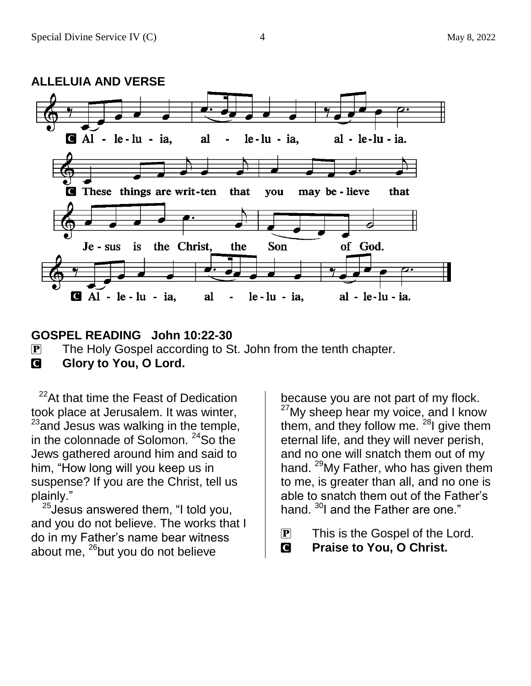

#### **GOSPEL READING John 10:22-30**

P The Holy Gospel according to St. John from the tenth chapter.

**G** Glory to You, O Lord.

<sup>22</sup>At that time the Feast of Dedication took place at Jerusalem. It was winter,  $23$  and Jesus was walking in the temple, in the colonnade of Solomon.  $24$ So the Jews gathered around him and said to him, "How long will you keep us in suspense? If you are the Christ, tell us plainly."

 $25$ Jesus answered them, "I told you, and you do not believe. The works that I do in my Father's name bear witness about me,  $^{26}$ but you do not believe

because you are not part of my flock.  $27$ My sheep hear my voice, and I know them, and they follow me.  $^{28}$ I give them eternal life, and they will never perish, and no one will snatch them out of my hand. <sup>29</sup>My Father, who has given them to me, is greater than all, and no one is able to snatch them out of the Father's hand. <sup>30</sup>I and the Father are one."

- $\overline{P}$  This is the Gospel of the Lord.
- C **Praise to You, O Christ.**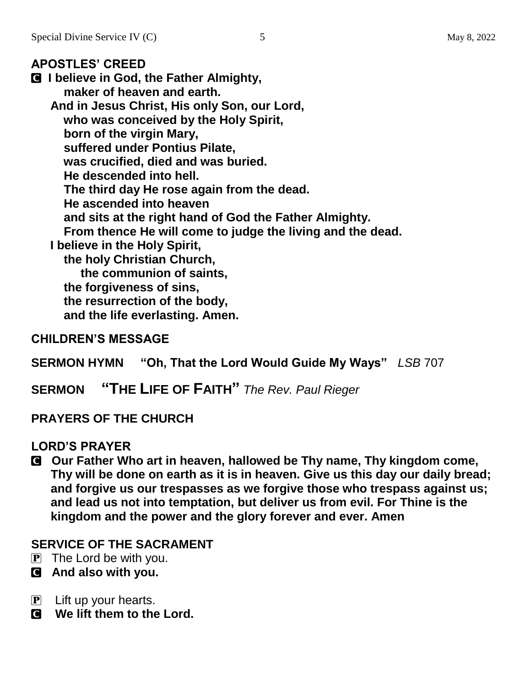#### **APOSTLES' CREED**

C **I believe in God, the Father Almighty, maker of heaven and earth. And in Jesus Christ, His only Son, our Lord, who was conceived by the Holy Spirit, born of the virgin Mary, suffered under Pontius Pilate, was crucified, died and was buried. He descended into hell. The third day He rose again from the dead. He ascended into heaven and sits at the right hand of God the Father Almighty. From thence He will come to judge the living and the dead. I believe in the Holy Spirit, the holy Christian Church, the communion of saints, the forgiveness of sins, the resurrection of the body,**

 **and the life everlasting. Amen.**

#### **CHILDREN'S MESSAGE**

**SERMON HYMN "Oh, That the Lord Would Guide My Ways"** *LSB* 707

**SERMON "THE LIFE OF FAITH"** *The Rev. Paul Rieger*

#### **PRAYERS OF THE CHURCH**

#### **LORD'S PRAYER**

C **Our Father Who art in heaven, hallowed be Thy name, Thy kingdom come, Thy will be done on earth as it is in heaven. Give us this day our daily bread; and forgive us our trespasses as we forgive those who trespass against us; and lead us not into temptation, but deliver us from evil. For Thine is the kingdom and the power and the glory forever and ever. Amen**

#### **SERVICE OF THE SACRAMENT**

- $\overline{P}$  The Lord be with you.
- C **And also with you.**
- $\mathbf{P}$  Lift up your hearts.
- C **We lift them to the Lord.**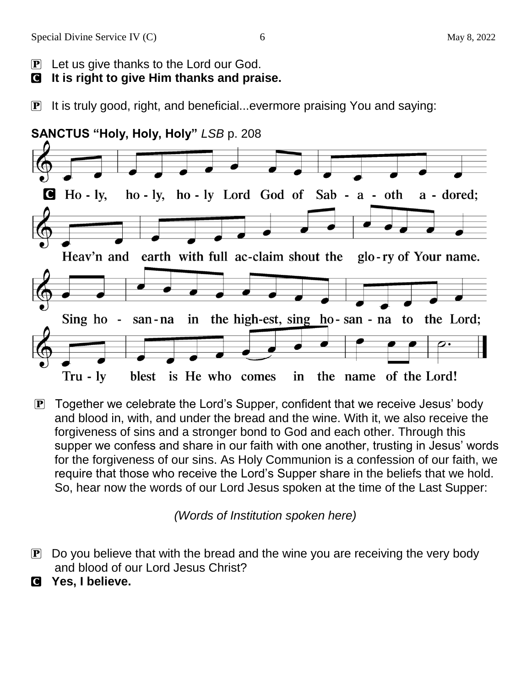#### C **It is right to give Him thanks and praise.**

P It is truly good, right, and beneficial...evermore praising You and saying:



 $\mathbf{P}$  Together we celebrate the Lord's Supper, confident that we receive Jesus' body and blood in, with, and under the bread and the wine. With it, we also receive the forgiveness of sins and a stronger bond to God and each other. Through this supper we confess and share in our faith with one another, trusting in Jesus' words for the forgiveness of our sins. As Holy Communion is a confession of our faith, we require that those who receive the Lord's Supper share in the beliefs that we hold. So, hear now the words of our Lord Jesus spoken at the time of the Last Supper:

*(Words of Institution spoken here)*

- $\bf{P}$  Do you believe that with the bread and the wine you are receiving the very body and blood of our Lord Jesus Christ?
- C **Yes, I believe.**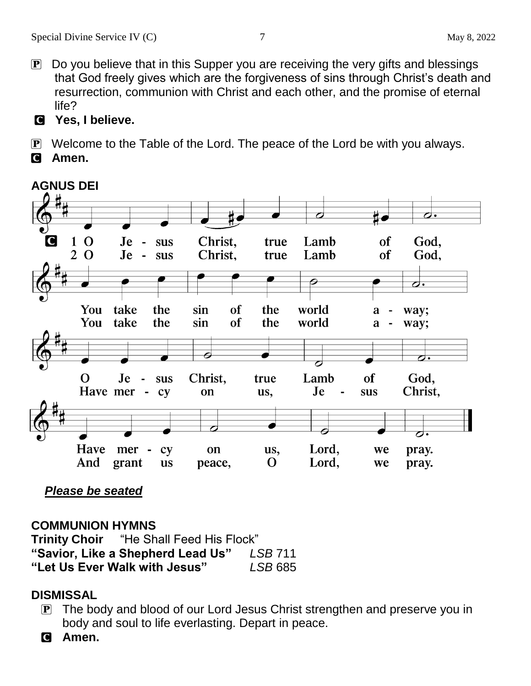- P Do you believe that in this Supper you are receiving the very gifts and blessings that God freely gives which are the forgiveness of sins through Christ's death and resurrection, communion with Christ and each other, and the promise of eternal life?
- C **Yes, I believe.**

P Welcome to the Table of the Lord. The peace of the Lord be with you always.

C **Amen.**



 *Please be seated*

#### **COMMUNION HYMNS**

**Trinity Choir** "He Shall Feed His Flock" **"Savior, Like a Shepherd Lead Us"** *LSB* 711 **"Let Us Ever Walk with Jesus"** *LSB* 685

#### **DISMISSAL**

 P The body and blood of our Lord Jesus Christ strengthen and preserve you in body and soul to life everlasting. Depart in peace.

C **Amen.**